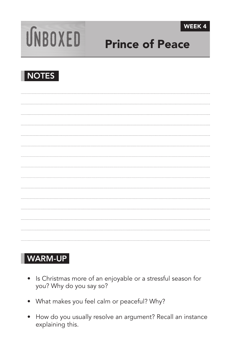



# Prince of Peace



## WARM-UP

- Is Christmas more of an enjoyable or a stressful season for you? Why do you say so?
- • What makes you feel calm or peaceful? Why?
- How do you usually resolve an argument? Recall an instance explaining this.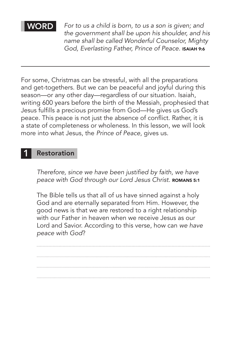WORD *For to us a child is born, to us a son is given; and the government shall be upon his shoulder, and his name shall be called Wonderful Counselor, Mighty God, Everlasting Father, Prince of Peace. ^*ISAIAH 9:6

For some, Christmas can be stressful, with all the preparations and get-togethers. But we can be peaceful and joyful during this season—or any other day—regardless of our situation. Isaiah, writing 600 years before the birth of the Messiah, prophesied that Jesus fulfills a precious promise from God—He gives us God's peace. This peace is not just the absence of conflict. Rather, it is a state of completeness or wholeness. In this lesson, we will look more into what Jesus, the *Prince of Peace*, gives us.

#### **Restoration**

Therefore, since we have been justified by faith, we have *peace with God through our Lord Jesus Christ. ROMANS 5:1* 

The Bible tells us that all of us have sinned against a holy God and are eternally separated from Him. However, the good news is that we are restored to a right relationship with our Father in heaven when we receive Jesus as our Lord and Savior. According to this verse, how can *we have peace with God*?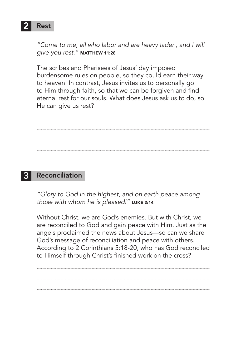

*"Come to me, all who labor and are heavy laden, and I will give you rest." ^*MATTHEW 11:28

The scribes and Pharisees of Jesus' day imposed burdensome rules on people, so they could earn their way to heaven. In contrast, Jesus invites us to personally go to Him through faith, so that we can be forgiven and find eternal rest for our souls. What does Jesus ask us to do, so He can give us rest?

#### **Reconciliation**

*"Glory to God in the highest, and on earth peace among those with whom he is pleased!" ^*LUKE 2:14

Without Christ, we are God's enemies. But with Christ, we are reconciled to God and gain peace with Him. Just as the angels proclaimed the news about Jesus—so can we share God's message of reconciliation and peace with others. According to 2 Corinthians 5:18-20, who has God reconciled to Himself through Christ's finished work on the cross?